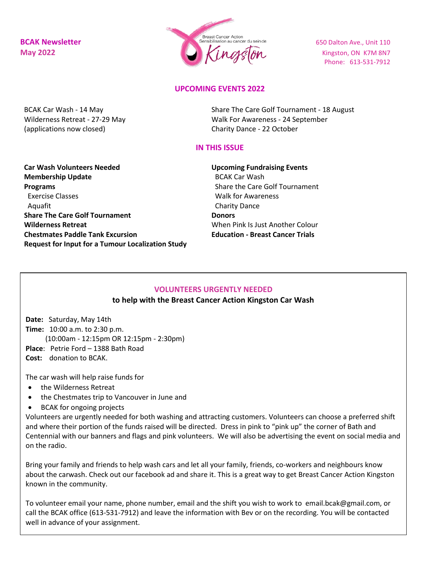

Phone: 613-531-7912

## **UPCOMING EVENTS 2022**

BCAK Car Wash - 14 May Wilderness Retreat - 27-29 May (applications now closed)

Share The Care Golf Tournament - 18 August Walk For Awareness - 24 September Charity Dance - 22 October

## **IN THIS ISSUE**

**Car Wash Volunteers Needed Membership Update Programs** Exercise Classes Aquafit **Share The Care Golf Tournament Wilderness Retreat Chestmates Paddle Tank Excursion Request for Input for a Tumour Localization Study** **Upcoming Fundraising Events** BCAK Car Wash Share the Care Golf Tournament Walk for Awareness Charity Dance **Donors** When Pink Is Just Another Colour **Education - Breast Cancer Trials**

## **VOLUNTEERS URGENTLY NEEDED**

## **to help with the Breast Cancer Action Kingston Car Wash**

**Date:** Saturday, May 14th **Time:** 10:00 a.m. to 2:30 p.m. (10:00am - 12:15pm OR 12:15pm - 2:30pm) **Place**: Petrie Ford – 1388 Bath Road **Cost:** donation to BCAK.

The car wash will help raise funds for

- the Wilderness Retreat
- the Chestmates trip to Vancouver in June and
- BCAK for ongoing projects

Volunteers are urgently needed for both washing and attracting customers. Volunteers can choose a preferred shift and where their portion of the funds raised will be directed. Dress in pink to "pink up" the corner of Bath and Centennial with our banners and flags and pink volunteers. We will also be advertising the event on social media and on the radio.

Bring your family and friends to help wash cars and let all your family, friends, co-workers and neighbours know about the carwash. Check out our facebook ad and share it. This is a great way to get Breast Cancer Action Kingston known in the community.

To volunteer email your name, phone number, email and the shift you wish to work to email.bcak@gmail.com, or call the BCAK office (613-531-7912) and leave the information with Bev or on the recording. You will be contacted well in advance of your assignment.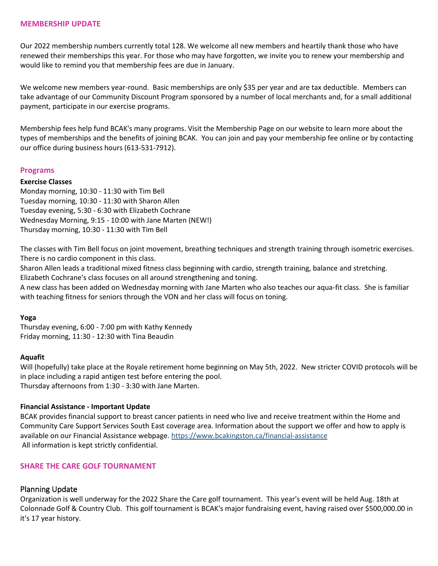#### **MEMBERSHIP UPDATE**

Our 2022 membership numbers currently total 128. We welcome all new members and heartily thank those who have renewed their memberships this year. For those who may have forgotten, we invite you to renew your membership and would like to remind you that membership fees are due in January.

We welcome new members year-round. Basic memberships are only \$35 per year and are tax deductible. Members can take advantage of our Community Discount Program sponsored by a number of local merchants and, for a small additional payment, participate in our exercise programs.

Membership fees help fund BCAK's many programs. Visit the Membership Page on our website to learn more about the types of memberships and the benefits of joining BCAK. You can join and pay your membership fee online or by contacting our office during business hours (613-531-7912).

## **Programs**

## **Exercise Classes**

Monday morning, 10:30 - 11:30 with Tim Bell Tuesday morning, 10:30 - 11:30 with Sharon Allen Tuesday evening, 5:30 - 6:30 with Elizabeth Cochrane Wednesday Morning, 9:15 - 10:00 with Jane Marten (NEW!) Thursday morning, 10:30 - 11:30 with Tim Bell

The classes with Tim Bell focus on joint movement, breathing techniques and strength training through isometric exercises. There is no cardio component in this class.

Sharon Allen leads a traditional mixed fitness class beginning with cardio, strength training, balance and stretching. Elizabeth Cochrane's class focuses on all around strengthening and toning.

A new class has been added on Wednesday morning with Jane Marten who also teaches our aqua-fit class. She is familiar with teaching fitness for seniors through the VON and her class will focus on toning.

## **Yoga**

Thursday evening, 6:00 - 7:00 pm with Kathy Kennedy Friday morning, 11:30 - 12:30 with Tina Beaudin

#### **Aquafit**

Will (hopefully) take place at the Royale retirement home beginning on May 5th, 2022. New stricter COVID protocols will be in place including a rapid antigen test before entering the pool. Thursday afternoons from 1:30 - 3:30 with Jane Marten.

## **Financial Assistance - Important Update**

BCAK provides financial support to breast cancer patients in need who live and receive treatment within the Home and Community Care Support Services South East coverage area. Information about the support we offer and how to apply is available on our Financial Assistance webpage. <https://www.bcakingston.ca/financial-assistance> All information is kept strictly confidential.

## **SHARE THE CARE GOLF TOURNAMENT**

## Planning Update

Organization is well underway for the 2022 Share the Care golf tournament. This year's event will be held Aug. 18th at Colonnade Golf & Country Club. This golf tournament is BCAK's major fundraising event, having raised over \$500,000.00 in it's 17 year history.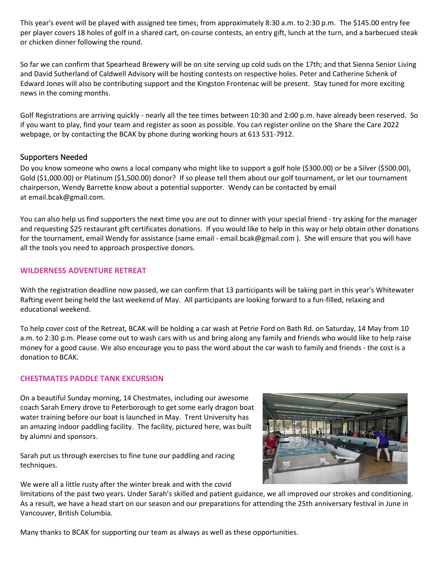This year's event will be played with assigned tee times; from approximately 8:30 a.m. to 2:30 p.m. The \$145.00 entry fee per player covers 18 holes of golf in a shared cart, on-course contests, an entry gift, lunch at the turn, and a barbecued steak or chicken dinner following the round.

So far we can confirm that Spearhead Brewery will be on site serving up cold suds on the 17th; and that Sienna Senior Living and David Sutherland of Caldwell Advisory will be hosting contests on respective holes. Peter and Catherine Schenk of Edward Jones will also be contributing support and the Kingston Frontenac will be present. Stay tuned for more exciting news in the coming months.

Golf Registrations are arriving quickly - nearly all the tee times between 10:30 and 2:00 p.m. have already been reserved. So if you want to play, find your team and register as soon as possible. You can register online on the Share the Care 2022 webpage, or by contacting the BCAK by phone during working hours at 613 531-7912.

# Supporters Needed

Do you know someone who owns a local company who might like to support a golf hole (\$300.00) or be a Silver (\$500.00), Gold (\$1,000.00) or Platinum (\$1,500.00) donor? If so please tell them about our golf tournament, or let our tournament chairperson, Wendy Barrette know about a potential supporter. Wendy can be contacted by email at email.bcak@gmail.com.

You can also help us find supporters the next time you are out to dinner with your special friend - try asking for the manager and requesting \$25 restaurant gift certificates donations. If you would like to help in this way or help obtain other donations for the tournament, email Wendy for assistance (same email - email.bcak@gmail.com). She will ensure that you will have all the tools you need to approach prospective donors.

## **WILDERNESS ADVENTURE RETREAT**

With the registration deadline now passed, we can confirm that 13 participants will be taking part in this year's Whitewater Rafting event being held the last weekend of May. All participants are looking forward to a fun-filled, relaxing and educational weekend.

To help cover cost of the Retreat, BCAK will be holding a car wash at Petrie Ford on Bath Rd. on Saturday, 14 May from 10 a.m. to 2:30 p.m. Please come out to wash cars with us and bring along any family and friends who would like to help raise money for a good cause. We also encourage you to pass the word about the car wash to family and friends - the cost is a donation to BCAK.

## **CHESTMATES PADDLE TANK EXCURSION**

On a beautiful Sunday morning, 14 Chestmates, including our awesome coach Sarah Emery drove to Peterborough to get some early dragon boat water training before our boat is launched in May. Trent University has an amazing indoor paddling facility. The facility, pictured here, was built by alumni and sponsors.

Sarah put us through exercises to fine tune our paddling and racing techniques.



We were all a little rusty after the winter break and with the covid

limitations of the past two years. Under Sarah's skilled and patient guidance, we all improved our strokes and conditioning. As a result, we have a head start on our season and our preparations for attending the 25th anniversary festival in June in Vancouver, British Columbia.

Many thanks to BCAK for supporting our team as always as well as these opportunities.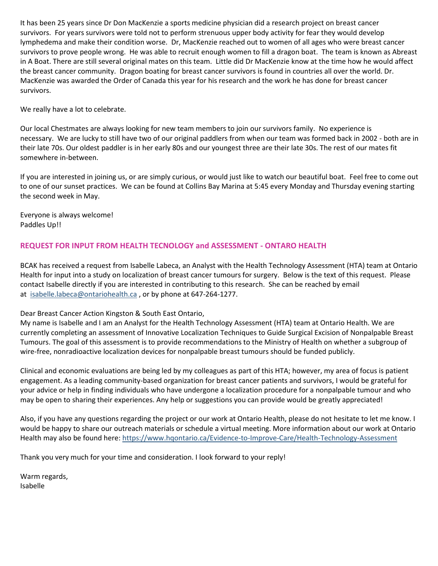It has been 25 years since Dr Don MacKenzie a sports medicine physician did a research project on breast cancer survivors. For years survivors were told not to perform strenuous upper body activity for fear they would develop lymphedema and make their condition worse. Dr, MacKenzie reached out to women of all ages who were breast cancer survivors to prove people wrong. He was able to recruit enough women to fill a dragon boat. The team is known as Abreast in A Boat. There are still several original mates on this team. Little did Dr MacKenzie know at the time how he would affect the breast cancer community. Dragon boating for breast cancer survivors is found in countries all over the world. Dr. MacKenzie was awarded the Order of Canada this year for his research and the work he has done for breast cancer survivors.

We really have a lot to celebrate.

Our local Chestmates are always looking for new team members to join our survivors family. No experience is necessary. We are lucky to still have two of our original paddlers from when our team was formed back in 2002 - both are in their late 70s. Our oldest paddler is in her early 80s and our youngest three are their late 30s. The rest of our mates fit somewhere in-between.

If you are interested in joining us, or are simply curious, or would just like to watch our beautiful boat. Feel free to come out to one of our sunset practices. We can be found at Collins Bay Marina at 5:45 every Monday and Thursday evening starting the second week in May.

Everyone is always welcome! Paddles Up!!

# **REQUEST FOR INPUT FROM HEALTH TECNOLOGY and ASSESSMENT - ONTARO HEALTH**

BCAK has received a request from Isabelle Labeca, an Analyst with the Health Technology Assessment (HTA) team at Ontario Health for input into a study on localization of breast cancer tumours for surgery. Below is the text of this request. Please contact Isabelle directly if you are interested in contributing to this research. She can be reached by email at [isabelle.labeca@ontariohealth.ca](mailto:isabelle.labeca@ontariohealth.ca), or by phone at 647-264-1277.

Dear Breast Cancer Action Kingston & South East Ontario,

My name is Isabelle and I am an Analyst for the Health Technology Assessment (HTA) team at Ontario Health. We are currently completing an assessment of Innovative Localization Techniques to Guide Surgical Excision of Nonpalpable Breast Tumours. The goal of this assessment is to provide recommendations to the Ministry of Health on whether a subgroup of wire-free, nonradioactive localization devices for nonpalpable breast tumours should be funded publicly.

Clinical and economic evaluations are being led by my colleagues as part of this HTA; however, my area of focus is patient engagement. As a leading community-based organization for breast cancer patients and survivors, I would be grateful for your advice or help in finding individuals who have undergone a localization procedure for a nonpalpable tumour and who may be open to sharing their experiences. Any help or suggestions you can provide would be greatly appreciated!

Also, if you have any questions regarding the project or our work at Ontario Health, please do not hesitate to let me know. I would be happy to share our outreach materials or schedule a virtual meeting. More information about our work at Ontario Health may also be found here: [https://www.hqontario.ca/Evidence-to-Improve-Care/Health-Technology-Assessment](http://https/www.hqontario.ca/Evidence-to-Improve-Care/Health-Technology-Assessment)

Thank you very much for your time and consideration. I look forward to your reply!

Warm regards, Isabelle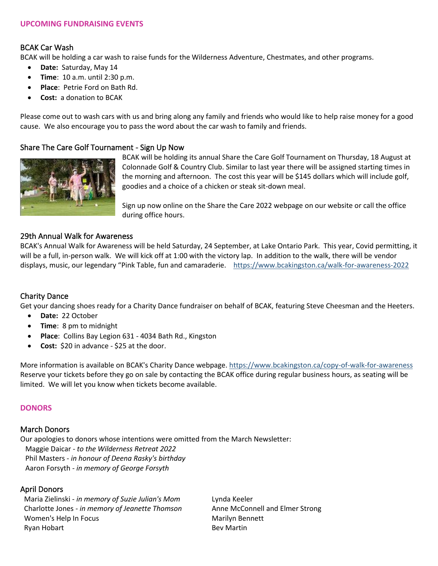# BCAK Car Wash

BCAK will be holding a car wash to raise funds for the Wilderness Adventure, Chestmates, and other programs.

- **Date:** Saturday, May 14
- **Time**: 10 a.m. until 2:30 p.m.
- **Place**: Petrie Ford on Bath Rd.
- **Cost:** a donation to BCAK

Please come out to wash cars with us and bring along any family and friends who would like to help raise money for a good cause. We also encourage you to pass the word about the car wash to family and friends.

# Share The Care Golf Tournament - Sign Up Now



BCAK will be holding its annual Share the Care Golf Tournament on Thursday, 18 August at Colonnade Golf & Country Club. Similar to last year there will be assigned starting times in the morning and afternoon. The cost this year will be \$145 dollars which will include golf, goodies and a choice of a chicken or steak sit-down meal.

Sign up now online on the Share the Care 2022 webpage on our website or call the office during office hours.

# 29th Annual Walk for Awareness

BCAK's Annual Walk for Awareness will be held Saturday, 24 September, at Lake Ontario Park. This year, Covid permitting, it will be a full, in-person walk. We will kick off at 1:00 with the victory lap. In addition to the walk, there will be vendor displays, music, our legendary "Pink Table, fun and camaraderie. <https://www.bcakingston.ca/walk-for-awareness-2022>

# Charity Dance

Get your dancing shoes ready for a Charity Dance fundraiser on behalf of BCAK, featuring Steve Cheesman and the Heeters.

- **Date:** 22 October
- **Time**: 8 pm to midnight
- **Place**: Collins Bay Legion 631 4034 Bath Rd., Kingston
- **Cost:** \$20 in advance \$25 at the door.

More information is available on BCAK's Charity Dance webpage[. https://www.bcakingston.ca/copy-of-walk-for-awareness](https://www.bcakingston.ca/copy-of-walk-for-awareness) Reserve your tickets before they go on sale by contacting the BCAK office during regular business hours, as seating will be limited. We will let you know when tickets become available.

# **DONORS**

# March Donors

Our apologies to donors whose intentions were omitted from the March Newsletter: Maggie Daicar *- to the Wilderness Retreat 2022* Phil Masters *- in honour of Deena Rasky's birthday* Aaron Forsyth *- in memory of George Forsyth*

# April Donors

Maria Zielinski - *in memory of Suzie Julian's Mom* Charlotte Jones - *in memory of Jeanette Thomson* Women's Help In Focus Ryan Hobart

Lynda Keeler Anne McConnell and Elmer Strong Marilyn Bennett Bev Martin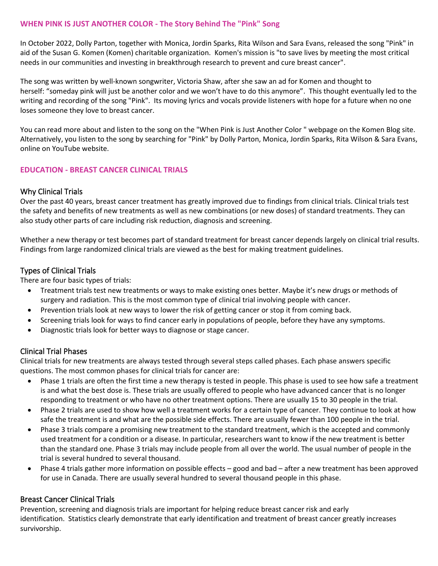# **WHEN PINK IS JUST ANOTHER COLOR - The Story Behind The "Pink" Song**

In October 2022, Dolly Parton, together with Monica, Jordin Sparks, Rita Wilson and Sara Evans, released the song "Pink" in aid of the Susan G. Komen (Komen) charitable organization. Komen's mission is "to save lives by meeting the most critical needs in our communities and investing in breakthrough research to prevent and cure breast cancer".

The song was written by well-known songwriter, Victoria Shaw, after she saw an ad for Komen and thought to herself: "someday pink will just be another color and we won't have to do this anymore". This thought eventually led to the writing and recording of the song "Pink". Its moving lyrics and vocals provide listeners with hope for a future when no one loses someone they love to breast cancer.

You can read more about and listen to the song on the "When Pink is Just Another Color " webpage on the Komen Blog site. Alternatively, you listen to the song by searching for "Pink" by Dolly Parton, Monica, Jordin Sparks, Rita Wilson & Sara Evans, online on YouTube website.

# **EDUCATION - BREAST CANCER CLINICAL TRIALS**

# Why Clinical Trials

Over the past 40 years, breast cancer treatment has greatly improved due to findings from clinical trials. Clinical trials test the safety and benefits of new treatments as well as new combinations (or new doses) of standard treatments. They can also study other parts of care including risk reduction, diagnosis and screening.

Whether a new therapy or test becomes part of standard treatment for breast cancer depends largely on clinical trial results. Findings from large randomized clinical trials are viewed as the best for making treatment guidelines.

## Types of Clinical Trials

There are four basic types of trials:

- Treatment trials test new treatments or ways to make existing ones better. Maybe it's new drugs or methods of surgery and radiation. This is the most common type of clinical trial involving people with cancer.
- Prevention trials look at new ways to lower the risk of getting cancer or stop it from coming back.
- Screening trials look for ways to find cancer early in populations of people, before they have any symptoms.
- Diagnostic trials look for better ways to diagnose or stage cancer.

# Clinical Trial Phases

Clinical trials for new treatments are always tested through several steps called phases. Each phase answers specific questions. The most common phases for clinical trials for cancer are:

- Phase 1 trials are often the first time a new therapy is tested in people. This phase is used to see how safe a treatment is and what the best dose is. These trials are usually offered to people who have advanced cancer that is no longer responding to treatment or who have no other treatment options. There are usually 15 to 30 people in the trial.
- Phase 2 trials are used to show how well a treatment works for a certain type of cancer. They continue to look at how safe the treatment is and what are the possible side effects. There are usually fewer than 100 people in the trial.
- Phase 3 trials compare a promising new treatment to the standard treatment, which is the accepted and commonly used treatment for a condition or a disease. In particular, researchers want to know if the new treatment is better than the standard one. Phase 3 trials may include people from all over the world. The usual number of people in the trial is several hundred to several thousand.
- Phase 4 trials gather more information on possible effects good and bad after a new treatment has been approved for use in Canada. There are usually several hundred to several thousand people in this phase.

# Breast Cancer Clinical Trials

Prevention, screening and diagnosis trials are important for helping reduce breast cancer risk and early identification. Statistics clearly demonstrate that early identification and treatment of breast cancer greatly increases survivorship.